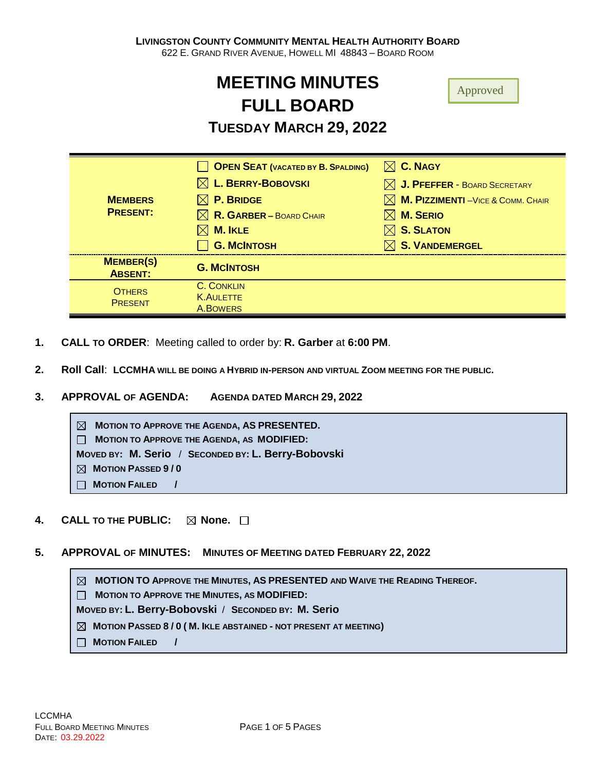# **MEETING MINUTES FULL BOARD**

# **TUESDAY MARCH 29, 2022**

| <b>MEMBERS</b><br><b>PRESENT:</b>  | OPEN SEAT (VACATED BY B. SPALDING)  | $\boxtimes$ C. NAGY                      |
|------------------------------------|-------------------------------------|------------------------------------------|
|                                    | $\boxtimes$ L. BERRY-BOBOVSKI       | $\boxtimes$ J. PFEFFER - BOARD SECRETARY |
|                                    | $\boxtimes$ P. Bridge               | M. PIZZIMENTI-VICE & COMM. CHAIR         |
|                                    | $\boxtimes$ R. GARBER – BOARD CHAIR | $\boxtimes$ M. Serio                     |
|                                    | $\boxtimes$ M. IKLE                 | $\boxtimes$ S. SLATON                    |
|                                    | <b>G. MCINTOSH</b>                  | $\boxtimes$ S. VANDEMERGEL               |
| <b>MEMBER(S)</b><br><b>ABSENT:</b> | <b>G. MCINTOSH</b>                  |                                          |
| <b>OTHERS</b><br><b>PRESENT</b>    | C. CONKLIN                          |                                          |
|                                    | <b>K.AULETTE</b><br>A.BOWERS        |                                          |
|                                    |                                     |                                          |

- **1. CALL TO ORDER**: Meeting called to order by: **R. Garber** at **6:00 PM**.
- **2. Roll Call**: **LCCMHA WILL BE DOING A HYBRID IN-PERSON AND VIRTUAL ZOOM MEETING FOR THE PUBLIC.**
- **3. APPROVAL OF AGENDA: AGENDA DATED MARCH 29, 2022**



- **4. CALL TO THE PUBLIC:** ⊠ None. □
- **5. APPROVAL OF MINUTES: MINUTES OF MEETING DATED FEBRUARY 22, 2022**

 **MOTION TO APPROVE THE MINUTES, AS PRESENTED AND WAIVE THE READING THEREOF.**

 **MOTION TO APPROVE THE MINUTES, AS MODIFIED:** 

**MOVED BY: L. Berry-Bobovski** / **SECONDED BY: M. Serio**

- **MOTION PASSED 8 / 0 ( M. IKLE ABSTAINED - NOT PRESENT AT MEETING)**
- **MOTION FAILED /**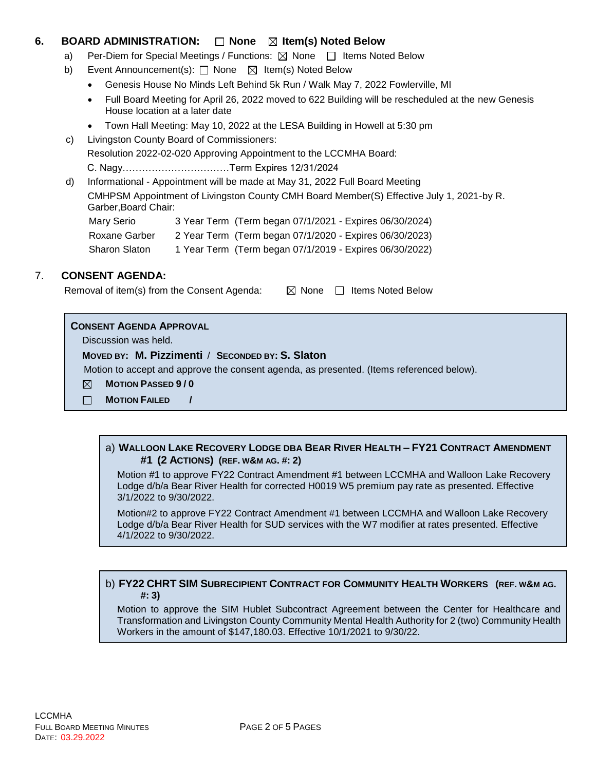# **6. BOARD ADMINISTRATION:**  $\Box$  **None**  $\boxtimes$  **Item(s)** Noted Below

- a) Per-Diem for Special Meetings / Functions:  $\boxtimes$  None  $\Box$  Items Noted Below
- b) Event Announcement(s): □ None **If Item(s) Noted Below** 
	- Genesis House No Minds Left Behind 5k Run / Walk May 7, 2022 Fowlerville, MI
	- Full Board Meeting for April 26, 2022 moved to 622 Building will be rescheduled at the new Genesis House location at a later date
	- Town Hall Meeting: May 10, 2022 at the LESA Building in Howell at 5:30 pm
- c) Livingston County Board of Commissioners: Resolution 2022-02-020 Approving Appointment to the LCCMHA Board: C. Nagy……………………………Term Expires 12/31/2024
- d) Informational Appointment will be made at May 31, 2022 Full Board Meeting CMHPSM Appointment of Livingston County CMH Board Member(S) Effective July 1, 2021-by R. Garber,Board Chair: Mary Serio 3 Year Term (Term began 07/1/2021 - Expires 06/30/2024)

| Roxane Garber        | 2 Year Term (Term began 07/1/2020 - Expires 06/30/2023) |
|----------------------|---------------------------------------------------------|
| <b>Sharon Slaton</b> | 1 Year Term (Term began 07/1/2019 - Expires 06/30/2022) |

# 7. **CONSENT AGENDA:**

Removal of item(s) from the Consent Agenda:  $\boxtimes$  None  $\Box$  Items Noted Below

#### **CONSENT AGENDA APPROVAL**

Discussion was held.

#### **MOVED BY: M. Pizzimenti** / **SECONDED BY: S. Slaton**

Motion to accept and approve the consent agenda, as presented. (Items referenced below).

- **MOTION PASSED 9 / 0**  $\boxtimes$
- $\Box$ **MOTION FAILED /**

#### a) **WALLOON LAKE RECOVERY LODGE DBA BEAR RIVER HEALTH – FY21 CONTRACT AMENDMENT #1 (2 ACTIONS) (REF. W&M AG. #: 2)**

Motion #1 to approve FY22 Contract Amendment #1 between LCCMHA and Walloon Lake Recovery Lodge d/b/a Bear River Health for corrected H0019 W5 premium pay rate as presented. Effective 3/1/2022 to 9/30/2022.

Motion#2 to approve FY22 Contract Amendment #1 between LCCMHA and Walloon Lake Recovery Lodge d/b/a Bear River Health for SUD services with the W7 modifier at rates presented. Effective 4/1/2022 to 9/30/2022.

# b) **FY22 CHRT SIM SUBRECIPIENT CONTRACT FOR COMMUNITY HEALTH WORKERS (REF. W&M AG. #: 3)**

Motion to approve the SIM Hublet Subcontract Agreement between the Center for Healthcare and Transformation and Livingston County Community Mental Health Authority for 2 (two) Community Health Workers in the amount of \$147,180.03. Effective 10/1/2021 to 9/30/22.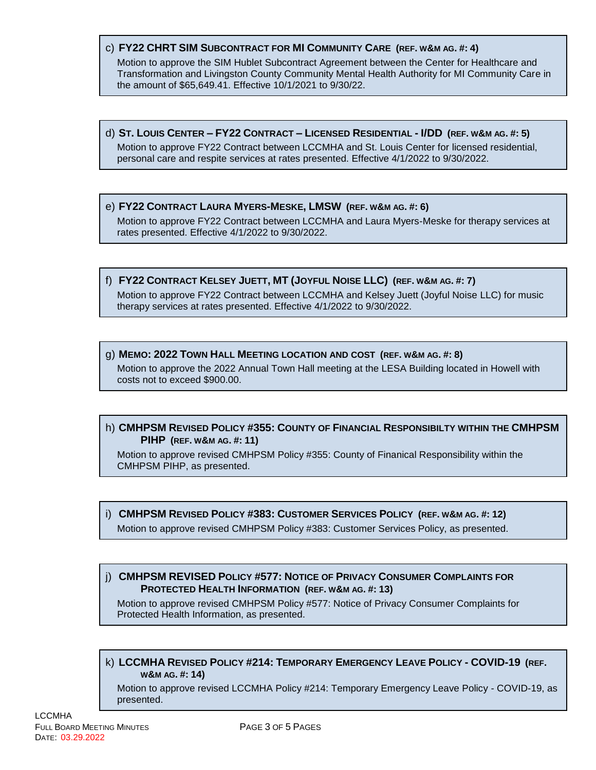# c) **FY22 CHRT SIM SUBCONTRACT FOR MI COMMUNITY CARE (REF. W&M AG. #: 4)**

Motion to approve the SIM Hublet Subcontract Agreement between the Center for Healthcare and Transformation and Livingston County Community Mental Health Authority for MI Community Care in the amount of \$65,649.41. Effective 10/1/2021 to 9/30/22.

d) ST. LOUIS CENTER - FY22 CONTRACT - LICENSED RESIDENTIAL - I/DD (REF. W&M AG. #: 5) Motion to approve FY22 Contract between LCCMHA and St. Louis Center for licensed residential, personal care and respite services at rates presented. Effective 4/1/2022 to 9/30/2022.

#### e) **FY22 CONTRACT LAURA MYERS-MESKE, LMSW (REF. W&M AG. #: 6)**

Motion to approve FY22 Contract between LCCMHA and Laura Myers-Meske for therapy services at rates presented. Effective 4/1/2022 to 9/30/2022.

#### f) FY22 CONTRACT KELSEY JUETT, MT (JOYFUL NOISE LLC) (REF. W&M AG. #: 7)

Motion to approve FY22 Contract between LCCMHA and Kelsey Juett (Joyful Noise LLC) for music therapy services at rates presented. Effective 4/1/2022 to 9/30/2022.

#### g) **MEMO: 2022 TOWN HALL MEETING LOCATION AND COST (REF. W&M AG. #: 8)**

Motion to approve the 2022 Annual Town Hall meeting at the LESA Building located in Howell with costs not to exceed \$900.00.

# h) **CMHPSM REVISED POLICY #355: COUNTY OF FINANCIAL RESPONSIBILTY WITHIN THE CMHPSM PIHP (REF. W&M AG. #: 11)**

Motion to approve revised CMHPSM Policy #355: County of Finanical Responsibility within the CMHPSM PIHP, as presented.

#### i) **CMHPSM REVISED POLICY #383: CUSTOMER SERVICES POLICY (REF. W&M AG. #: 12)**

Motion to approve revised CMHPSM Policy #383: Customer Services Policy, as presented.

# j) **CMHPSM REVISED POLICY #577: NOTICE OF PRIVACY CONSUMER COMPLAINTS FOR PROTECTED HEALTH INFORMATION (REF. W&M AG. #: 13)**

Motion to approve revised CMHPSM Policy #577: Notice of Privacy Consumer Complaints for Protected Health Information, as presented.

#### k) **LCCMHA REVISED POLICY #214: TEMPORARY EMERGENCY LEAVE POLICY - COVID-19 (REF. W&M AG. #: 14)**

Motion to approve revised LCCMHA Policy #214: Temporary Emergency Leave Policy - COVID-19, as presented.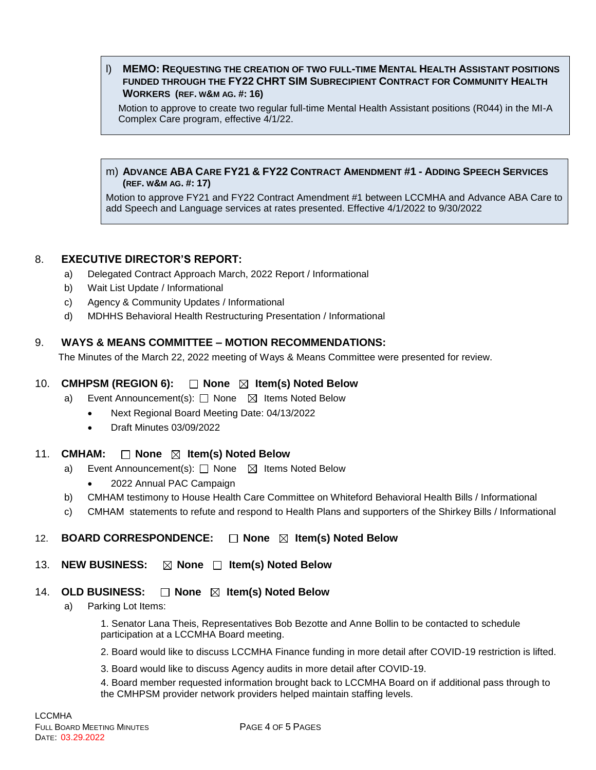#### l) **MEMO: REQUESTING THE CREATION OF TWO FULL-TIME MENTAL HEALTH ASSISTANT POSITIONS FUNDED THROUGH THE FY22 CHRT SIM SUBRECIPIENT CONTRACT FOR COMMUNITY HEALTH WORKERS (REF. W&M AG. #: 16)**

Motion to approve to create two regular full-time Mental Health Assistant positions (R044) in the MI-A Complex Care program, effective 4/1/22.

#### m) **ADVANCE ABA CARE FY21 & FY22 CONTRACT AMENDMENT #1 - ADDING SPEECH SERVICES (REF. W&M AG. #: 17)**

Motion to approve FY21 and FY22 Contract Amendment #1 between LCCMHA and Advance ABA Care to add Speech and Language services at rates presented. Effective 4/1/2022 to 9/30/2022

# 8. **EXECUTIVE DIRECTOR'S REPORT:**

- a) Delegated Contract Approach March, 2022 Report / Informational
- b) Wait List Update / Informational
- c) Agency & Community Updates / Informational
- d) MDHHS Behavioral Health Restructuring Presentation / Informational

# 9. **WAYS & MEANS COMMITTEE – MOTION RECOMMENDATIONS:**

The Minutes of the March 22, 2022 meeting of Ways & Means Committee were presented for review.

# 10. **CMHPSM (REGION 6):** □ None ⊠ Item(s) Noted Below

- a) Event Announcement(s): □ None △ Items Noted Below
	- Next Regional Board Meeting Date: 04/13/2022
	- Draft Minutes 03/09/2022

# 11. **CMHAM:** □ None ⊠ Item(s) Noted Below

- a) Event Announcement(s):  $\Box$  None  $\boxtimes$  Items Noted Below
	- 2022 Annual PAC Campaign
- b) CMHAM testimony to House Health Care Committee on Whiteford Behavioral Health Bills / Informational
- c) CMHAM statements to refute and respond to Health Plans and supporters of the Shirkey Bills / Informational

# 12. **BOARD CORRESPONDENCE:** □ None ⊠ Item(s) Noted Below

#### 13. **NEW BUSINESS:**  $\boxtimes$  **None**  $\Box$  **Item(s) Noted Below**

# 14. OLD BUSINESS:  $\Box$  None  $\boxtimes$  Item(s) Noted Below

a) Parking Lot Items:

1. Senator Lana Theis, Representatives Bob Bezotte and Anne Bollin to be contacted to schedule participation at a LCCMHA Board meeting.

2. Board would like to discuss LCCMHA Finance funding in more detail after COVID-19 restriction is lifted.

3. Board would like to discuss Agency audits in more detail after COVID-19.

4. Board member requested information brought back to LCCMHA Board on if additional pass through to the CMHPSM provider network providers helped maintain staffing levels.